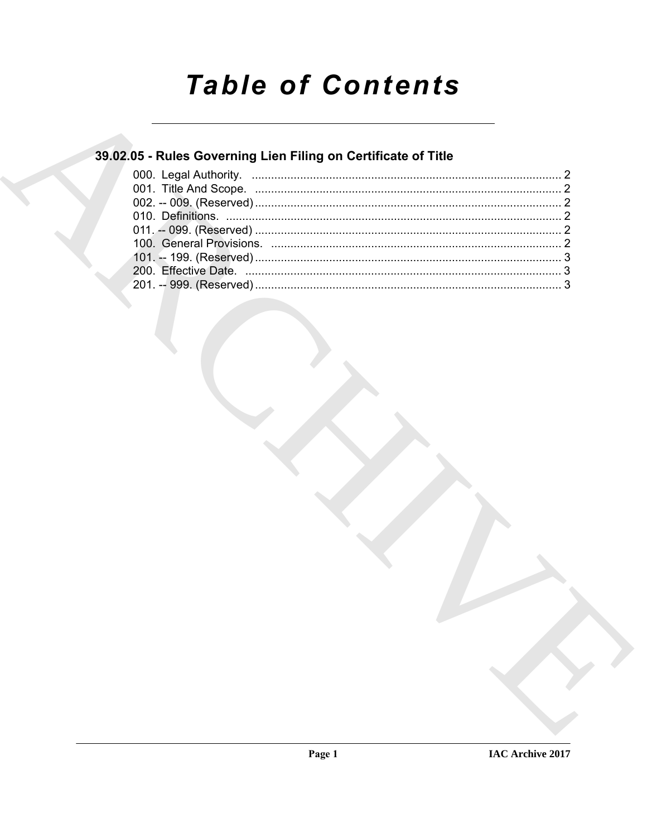# **Table of Contents**

## 39.02.05 - Rules Governing Lien Filing on Certificate of Title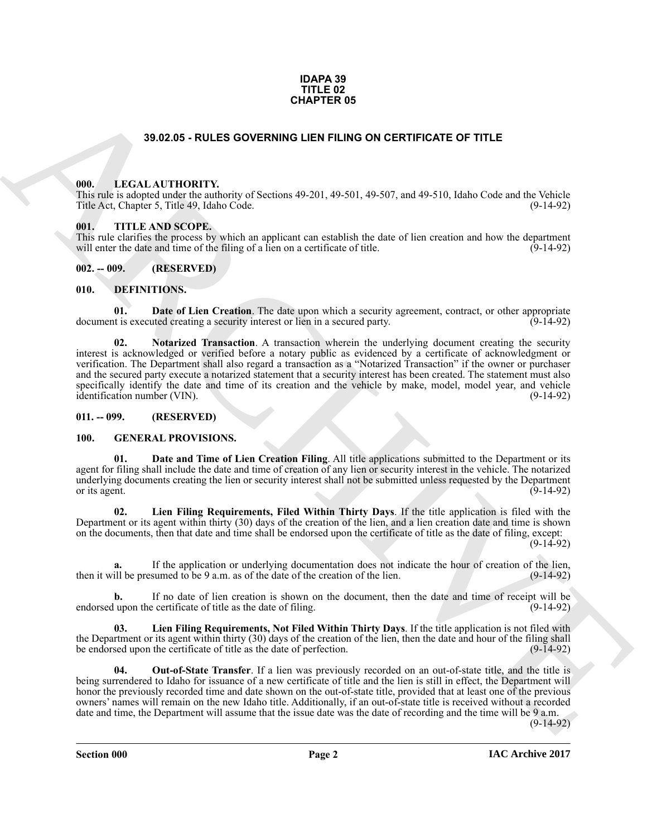#### **IDAPA 39 TITLE 02 CHAPTER 05**

#### **39.02.05 - RULES GOVERNING LIEN FILING ON CERTIFICATE OF TITLE**

#### <span id="page-1-1"></span><span id="page-1-0"></span>**000. LEGAL AUTHORITY.**

This rule is adopted under the authority of Sections 49-201, 49-501, 49-507, and 49-510, Idaho Code and the Vehicle Title Act, Chapter 5, Title 49, Idaho Code. (9-14-92)

#### <span id="page-1-2"></span>**001. TITLE AND SCOPE.**

This rule clarifies the process by which an applicant can establish the date of lien creation and how the department will enter the date and time of the filing of a lien on a certificate of title. (9-14-92)

#### <span id="page-1-3"></span>**002. -- 009. (RESERVED)**

#### <span id="page-1-8"></span><span id="page-1-4"></span>**010. DEFINITIONS.**

<span id="page-1-14"></span><span id="page-1-7"></span>**01. Date of Lien Creation**. The date upon which a security agreement, contract, or other appropriate it is executed creating a security interest or lien in a secured party. document is executed creating a security interest or lien in a secured party.

33.02.05 - RULES GOVERNING LIEN FILING ON CERTIFICATE OF TITLE<br>
1980. LECAL AUTIONITY<br>
1980. Consider the conformation of Science 199.201, 49-501, 49-501, 49-501, 49-501, 6150. Code and lies Notice<br>
1980. THE ANS SCOPE.<br> **02. Notarized Transaction**. A transaction wherein the underlying document creating the security interest is acknowledged or verified before a notary public as evidenced by a certificate of acknowledgment or verification. The Department shall also regard a transaction as a "Notarized Transaction" if the owner or purchaser and the secured party execute a notarized statement that a security interest has been created. The statement must also specifically identify the date and time of its creation and the vehicle by make, model, model year, and vehicle identification number (VIN). identification number (VIN).

#### <span id="page-1-5"></span>**011. -- 099. (RESERVED)**

#### <span id="page-1-10"></span><span id="page-1-9"></span><span id="page-1-6"></span>**100. GENERAL PROVISIONS.**

**01. Date and Time of Lien Creation Filing**. All title applications submitted to the Department or its agent for filing shall include the date and time of creation of any lien or security interest in the vehicle. The notarized underlying documents creating the lien or security interest shall not be submitted unless requested by the Department or its agent.  $(9-14-92)$ 

<span id="page-1-11"></span>**02. Lien Filing Requirements, Filed Within Thirty Days**. If the title application is filed with the Department or its agent within thirty (30) days of the creation of the lien, and a lien creation date and time is shown on the documents, then that date and time shall be endorsed upon the certificate of title as the date of filing, except:

(9-14-92)

If the application or underlying documentation does not indicate the hour of creation of the lien,<br>sumed to be 9 a.m. as of the date of the creation of the lien. (9-14-92) then it will be presumed to be 9 a.m. as of the date of the creation of the lien.

If no date of lien creation is shown on the document, then the date and time of receipt will be exertificate of title as the date of filing. endorsed upon the certificate of title as the date of filing.

<span id="page-1-12"></span>**03. Lien Filing Requirements, Not Filed Within Thirty Days**. If the title application is not filed with the Department or its agent within thirty (30) days of the creation of the lien, then the date and hour of the filing shall<br>be endorsed upon the certificate of title as the date of perfection. (9-14-92) be endorsed upon the certificate of title as the date of perfection.

<span id="page-1-13"></span>**04. Out-of-State Transfer**. If a lien was previously recorded on an out-of-state title, and the title is being surrendered to Idaho for issuance of a new certificate of title and the lien is still in effect, the Department will honor the previously recorded time and date shown on the out-of-state title, provided that at least one of the previous owners' names will remain on the new Idaho title. Additionally, if an out-of-state title is received without a recorded date and time, the Department will assume that the issue date was the date of recording and the time will be 9 a.m.

(9-14-92)

**Section 000 Page 2**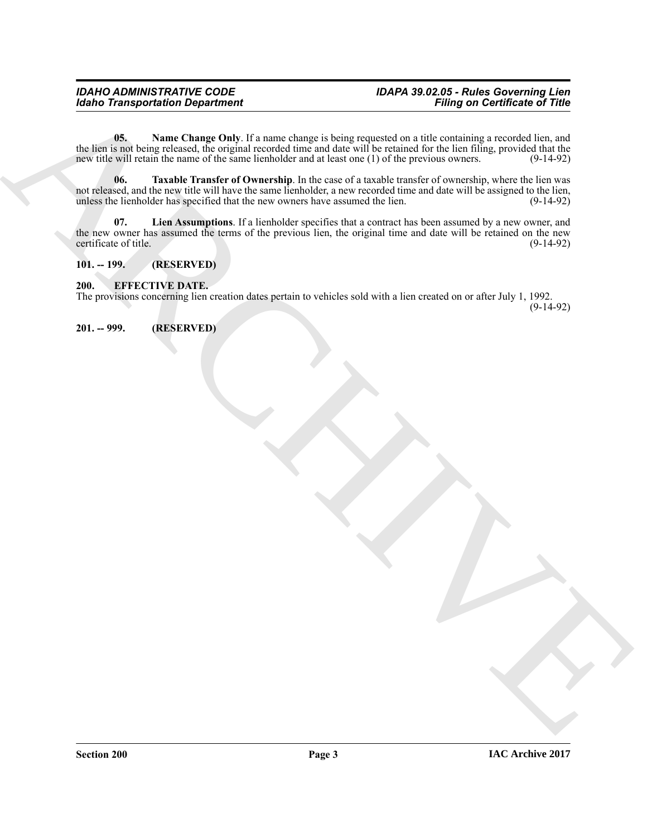# *Idaho Transportation Department*

<span id="page-2-5"></span><span id="page-2-4"></span>**05.** Name Change Only. If a name change is being requested on a title containing a recorded lien, and the lien is not being released, the original recorded time and date will be retained for the lien filing, provided that the new title will retain the name of the same lienholder and at least one (1) of the previous owners. new title will retain the name of the same lienholder and at least one  $(1)$  of the previous owners.

Station Transportation Department<br>  $\frac{1}{2}$  and  $\frac{1}{2}$  and  $\frac{1}{2}$  and  $\frac{1}{2}$  and  $\frac{1}{2}$  and  $\frac{1}{2}$  and  $\frac{1}{2}$  and  $\frac{1}{2}$  and  $\frac{1}{2}$  and  $\frac{1}{2}$  and  $\frac{1}{2}$  and  $\frac{1}{2}$  and  $\frac{1}{2}$  and  $\frac{$ **06. Taxable Transfer of Ownership**. In the case of a taxable transfer of ownership, where the lien was not released, and the new title will have the same lienholder, a new recorded time and date will be assigned to the lien, unless the lienholder has specified that the new owners have assumed the lien. (9-14-92) unless the lienholder has specified that the new owners have assumed the lien.

<span id="page-2-3"></span>**07. Lien Assumptions**. If a lienholder specifies that a contract has been assumed by a new owner, and the new owner has assumed the terms of the previous lien, the original time and date will be retained on the new certificate of title. (9-14-92) certificate of title.

#### <span id="page-2-0"></span>**101. -- 199. (RESERVED)**

#### <span id="page-2-1"></span>**200. EFFECTIVE DATE.**

The provisions concerning lien creation dates pertain to vehicles sold with a lien created on or after July 1, 1992. (9-14-92)

<span id="page-2-2"></span>**201. -- 999. (RESERVED)**